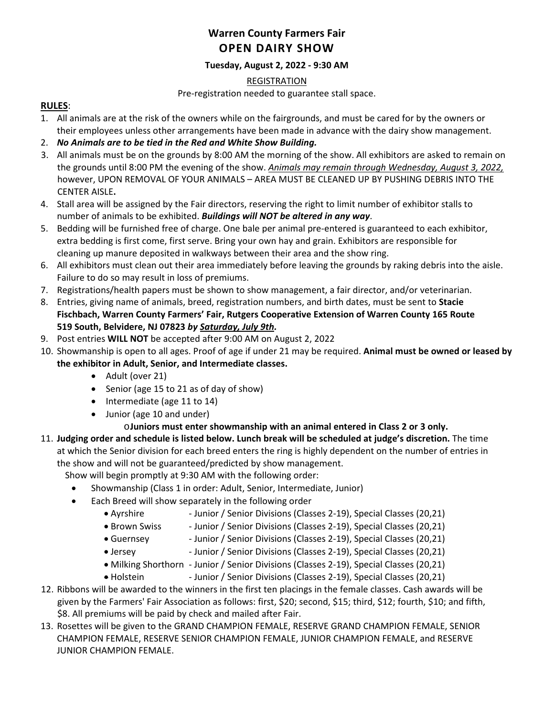## **Warren County Farmers Fair OPEN DAIRY SHOW**

### **Tuesday, August 2, 2022 - 9:30 AM**

#### REGISTRATION

Pre-registration needed to guarantee stall space.

#### **RULES**:

- 1. All animals are at the risk of the owners while on the fairgrounds, and must be cared for by the owners or their employees unless other arrangements have been made in advance with the dairy show management.
- 2. *No Animals are to be tied in the Red and White Show Building.*
- 3. All animals must be on the grounds by 8:00 AM the morning of the show. All exhibitors are asked to remain on the grounds until 8:00 PM the evening of the show. *Animals may remain through Wednesday, August 3, 2022,* however, UPON REMOVAL OF YOUR ANIMALS – AREA MUST BE CLEANED UP BY PUSHING DEBRIS INTO THE CENTER AISLE**.**
- 4. Stall area will be assigned by the Fair directors, reserving the right to limit number of exhibitor stalls to number of animals to be exhibited. *Buildings will NOT be altered in any way*.
- 5. Bedding will be furnished free of charge. One bale per animal pre-entered is guaranteed to each exhibitor, extra bedding is first come, first serve. Bring your own hay and grain. Exhibitors are responsible for cleaning up manure deposited in walkways between their area and the show ring.
- 6. All exhibitors must clean out their area immediately before leaving the grounds by raking debris into the aisle. Failure to do so may result in loss of premiums.
- 7. Registrations/health papers must be shown to show management, a fair director, and/or veterinarian.
- 8. Entries, giving name of animals, breed, registration numbers, and birth dates, must be sent to **Stacie Fischbach, Warren County Farmers' Fair, Rutgers Cooperative Extension of Warren County 165 Route 519 South, Belvidere, NJ 07823** *by Saturday, July 9th.*
- 9. Post entries **WILL NOT** be accepted after 9:00 AM on August 2, 2022
- 10. Showmanship is open to all ages. Proof of age if under 21 may be required. **Animal must be owned or leased by the exhibitor in Adult, Senior, and Intermediate classes.**
	- Adult (over 21)
	- Senior (age 15 to 21 as of day of show)
	- Intermediate (age 11 to 14)
	- Junior (age 10 and under)
		- o**Juniors must enter showmanship with an animal entered in Class 2 or 3 only.**
- 11. **Judging order and schedule is listed below. Lunch break will be scheduled at judge's discretion.** The time at which the Senior division for each breed enters the ring is highly dependent on the number of entries in the show and will not be guaranteed/predicted by show management.

Show will begin promptly at 9:30 AM with the following order:

- Showmanship (Class 1 in order: Adult, Senior, Intermediate, Junior)
- Each Breed will show separately in the following order
	- Ayrshire Junior / Senior Divisions (Classes 2-19), Special Classes (20,21)
	- Brown Swiss Junior / Senior Divisions (Classes 2-19), Special Classes (20,21)
	- Guernsey Junior / Senior Divisions (Classes 2-19), Special Classes (20,21)
	- Jersey Junior / Senior Divisions (Classes 2-19), Special Classes (20,21)
	- Milking Shorthorn Junior / Senior Divisions (Classes 2-19), Special Classes (20,21)
	- Holstein Junior / Senior Divisions (Classes 2-19), Special Classes (20,21)
- 12. Ribbons will be awarded to the winners in the first ten placings in the female classes. Cash awards will be given by the Farmers' Fair Association as follows: first, \$20; second, \$15; third, \$12; fourth, \$10; and fifth, \$8. All premiums will be paid by check and mailed after Fair.
- 13. Rosettes will be given to the GRAND CHAMPION FEMALE, RESERVE GRAND CHAMPION FEMALE, SENIOR CHAMPION FEMALE, RESERVE SENIOR CHAMPION FEMALE, JUNIOR CHAMPION FEMALE, and RESERVE JUNIOR CHAMPION FEMALE.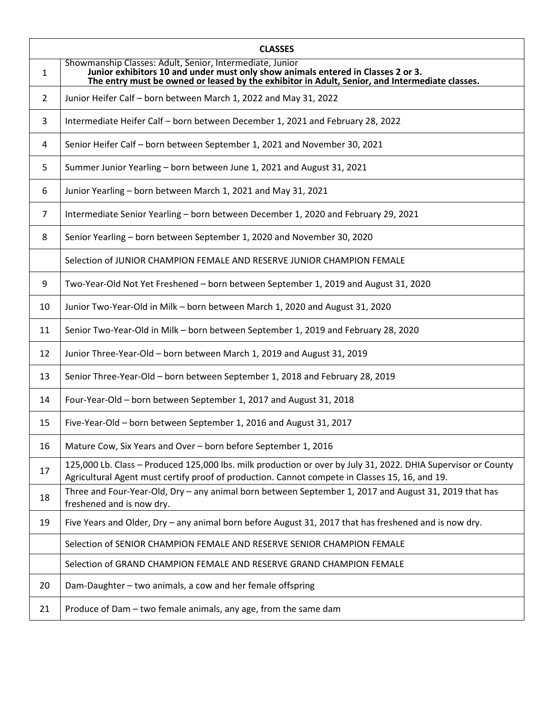| <b>CLASSES</b> |                                                                                                                                                                                                                                                |  |  |  |
|----------------|------------------------------------------------------------------------------------------------------------------------------------------------------------------------------------------------------------------------------------------------|--|--|--|
| $\mathbf{1}$   | Showmanship Classes: Adult, Senior, Intermediate, Junior<br>Junior exhibitors 10 and under must only show animals entered in Classes 2 or 3.<br>The entry must be owned or leased by the exhibitor in Adult, Senior, and Intermediate classes. |  |  |  |
| $\overline{2}$ | Junior Heifer Calf - born between March 1, 2022 and May 31, 2022                                                                                                                                                                               |  |  |  |
| 3              | Intermediate Heifer Calf - born between December 1, 2021 and February 28, 2022                                                                                                                                                                 |  |  |  |
| 4              | Senior Heifer Calf - born between September 1, 2021 and November 30, 2021                                                                                                                                                                      |  |  |  |
| 5              | Summer Junior Yearling - born between June 1, 2021 and August 31, 2021                                                                                                                                                                         |  |  |  |
| 6              | Junior Yearling - born between March 1, 2021 and May 31, 2021                                                                                                                                                                                  |  |  |  |
| 7              | Intermediate Senior Yearling - born between December 1, 2020 and February 29, 2021                                                                                                                                                             |  |  |  |
| 8              | Senior Yearling - born between September 1, 2020 and November 30, 2020                                                                                                                                                                         |  |  |  |
|                | Selection of JUNIOR CHAMPION FEMALE AND RESERVE JUNIOR CHAMPION FEMALE                                                                                                                                                                         |  |  |  |
| 9              | Two-Year-Old Not Yet Freshened - born between September 1, 2019 and August 31, 2020                                                                                                                                                            |  |  |  |
| 10             | Junior Two-Year-Old in Milk - born between March 1, 2020 and August 31, 2020                                                                                                                                                                   |  |  |  |
| 11             | Senior Two-Year-Old in Milk - born between September 1, 2019 and February 28, 2020                                                                                                                                                             |  |  |  |
| 12             | Junior Three-Year-Old - born between March 1, 2019 and August 31, 2019                                                                                                                                                                         |  |  |  |
| 13             | Senior Three-Year-Old - born between September 1, 2018 and February 28, 2019                                                                                                                                                                   |  |  |  |
| 14             | Four-Year-Old - born between September 1, 2017 and August 31, 2018                                                                                                                                                                             |  |  |  |
| 15             | Five-Year-Old - born between September 1, 2016 and August 31, 2017                                                                                                                                                                             |  |  |  |
| 16             | Mature Cow, Six Years and Over - born before September 1, 2016                                                                                                                                                                                 |  |  |  |
| 17             | 125,000 Lb. Class - Produced 125,000 lbs. milk production or over by July 31, 2022. DHIA Supervisor or County<br>Agricultural Agent must certify proof of production. Cannot compete in Classes 15, 16, and 19.                                |  |  |  |
| 18             | Three and Four-Year-Old, Dry - any animal born between September 1, 2017 and August 31, 2019 that has<br>freshened and is now dry.                                                                                                             |  |  |  |
| 19             | Five Years and Older, Dry - any animal born before August 31, 2017 that has freshened and is now dry.                                                                                                                                          |  |  |  |
|                | Selection of SENIOR CHAMPION FEMALE AND RESERVE SENIOR CHAMPION FEMALE                                                                                                                                                                         |  |  |  |
|                | Selection of GRAND CHAMPION FEMALE AND RESERVE GRAND CHAMPION FEMALE                                                                                                                                                                           |  |  |  |
| 20             | Dam-Daughter - two animals, a cow and her female offspring                                                                                                                                                                                     |  |  |  |
| 21             | Produce of Dam – two female animals, any age, from the same dam                                                                                                                                                                                |  |  |  |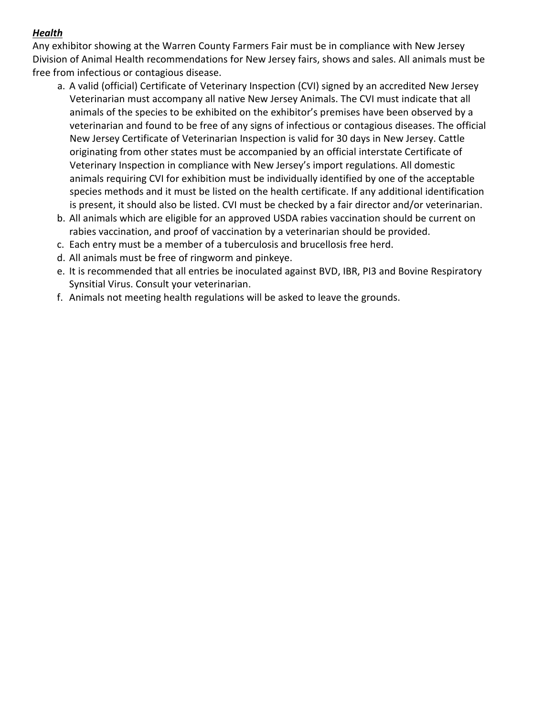## *Health*

Any exhibitor showing at the Warren County Farmers Fair must be in compliance with New Jersey Division of Animal Health recommendations for New Jersey fairs, shows and sales. All animals must be free from infectious or contagious disease.

- a. A valid (official) Certificate of Veterinary Inspection (CVI) signed by an accredited New Jersey Veterinarian must accompany all native New Jersey Animals. The CVI must indicate that all animals of the species to be exhibited on the exhibitor's premises have been observed by a veterinarian and found to be free of any signs of infectious or contagious diseases. The official New Jersey Certificate of Veterinarian Inspection is valid for 30 days in New Jersey. Cattle originating from other states must be accompanied by an official interstate Certificate of Veterinary Inspection in compliance with New Jersey's import regulations. All domestic animals requiring CVI for exhibition must be individually identified by one of the acceptable species methods and it must be listed on the health certificate. If any additional identification is present, it should also be listed. CVI must be checked by a fair director and/or veterinarian.
- b. All animals which are eligible for an approved USDA rabies vaccination should be current on rabies vaccination, and proof of vaccination by a veterinarian should be provided.
- c. Each entry must be a member of a tuberculosis and brucellosis free herd.
- d. All animals must be free of ringworm and pinkeye.
- e. It is recommended that all entries be inoculated against BVD, IBR, PI3 and Bovine Respiratory Synsitial Virus. Consult your veterinarian.
- f. Animals not meeting health regulations will be asked to leave the grounds.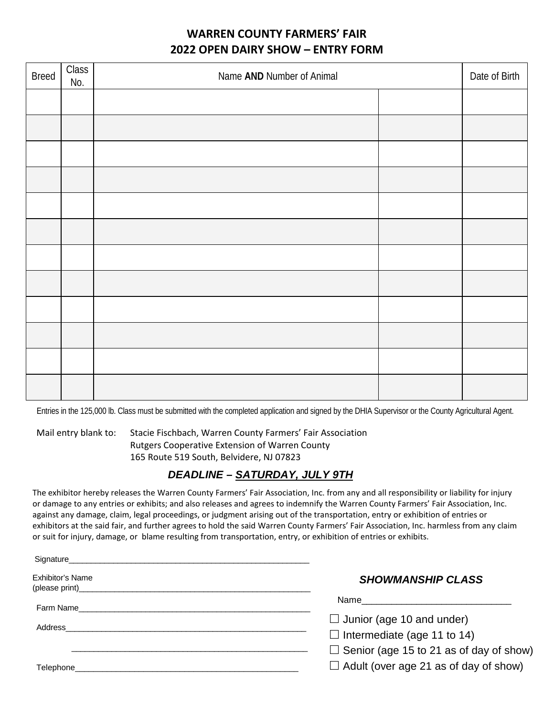# **WARREN COUNTY FARMERS' FAIR 2022 OPEN DAIRY SHOW – ENTRY FORM**

| <b>Breed</b> | $\overline{Class}$<br>No. | Name AND Number of Animal |  | Date of Birth |
|--------------|---------------------------|---------------------------|--|---------------|
|              |                           |                           |  |               |
|              |                           |                           |  |               |
|              |                           |                           |  |               |
|              |                           |                           |  |               |
|              |                           |                           |  |               |
|              |                           |                           |  |               |
|              |                           |                           |  |               |
|              |                           |                           |  |               |
|              |                           |                           |  |               |
|              |                           |                           |  |               |
|              |                           |                           |  |               |
|              |                           |                           |  |               |

Entries in the 125,000 lb. Class must be submitted with the completed application and signed by the DHIA Supervisor or the County Agricultural Agent.

Mail entry blank to: Stacie Fischbach, Warren County Farmers' Fair Association Rutgers Cooperative Extension of Warren County 165 Route 519 South, Belvidere, NJ 07823

### *DEADLINE – SATURDAY, JULY 9TH*

The exhibitor hereby releases the Warren County Farmers' Fair Association, Inc. from any and all responsibility or liability for injury or damage to any entries or exhibits; and also releases and agrees to indemnify the Warren County Farmers' Fair Association, Inc. against any damage, claim, legal proceedings, or judgment arising out of the transportation, entry or exhibition of entries or exhibitors at the said fair, and further agrees to hold the said Warren County Farmers' Fair Association, Inc. harmless from any claim or suit for injury, damage, or blame resulting from transportation, entry, or exhibition of entries or exhibits.

| Signature                                                                                                                                                                                                                          |                                                |
|------------------------------------------------------------------------------------------------------------------------------------------------------------------------------------------------------------------------------------|------------------------------------------------|
| Exhibitor's Name                                                                                                                                                                                                                   | <b>SHOWMANSHIP CLASS</b>                       |
| Farm Name and the contract of the contract of the contract of the contract of the contract of the contract of the contract of the contract of the contract of the contract of the contract of the contract of the contract of      | Name _____________________                     |
|                                                                                                                                                                                                                                    | $\Box$ Junior (age 10 and under)               |
| Address                                                                                                                                                                                                                            | $\Box$ Intermediate (age 11 to 14)             |
|                                                                                                                                                                                                                                    | $\Box$ Senior (age 15 to 21 as of day of show) |
| <b>Telephone Contract Contract Contract Contract Contract Contract Contract Contract Contract Contract Contract Contract Contract Contract Contract Contract Contract Contract Contract Contract Contract Contract Contract Co</b> | $\Box$ Adult (over age 21 as of day of show)   |